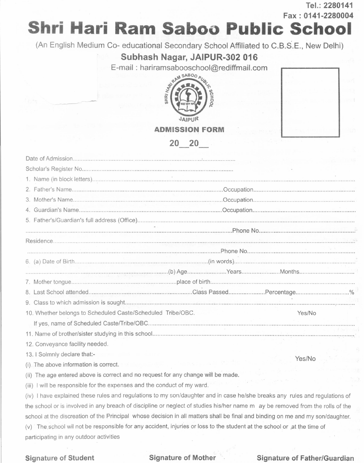**Tel.: 2280141 Fax: 0141-2280004**

# **Shri Hari Ram Saboo Public School**

(An English Medium Co- educational Secondary School Affiliated to C.B.S.E., New Delhi)

## Subhash Nagar, JAIPUR-302 016

E-mail: hariramsabooschool@rediffmail.com



| × |                         |          |             |  |  |
|---|-------------------------|----------|-------------|--|--|
|   | $\mu_{\rm c}$ as $\sim$ |          |             |  |  |
|   | 图 24                    |          |             |  |  |
|   | 20.21                   |          |             |  |  |
|   |                         | $\sim$ 8 |             |  |  |
|   |                         |          |             |  |  |
|   |                         |          |             |  |  |
|   | $\boldsymbol{\Sigma}$   | s Li     | The Control |  |  |

|                                                             | hlvitiloviote i Vinit                                                                                                                                                                                                          |                                           |  |  |  |
|-------------------------------------------------------------|--------------------------------------------------------------------------------------------------------------------------------------------------------------------------------------------------------------------------------|-------------------------------------------|--|--|--|
|                                                             | $20\quad 20$                                                                                                                                                                                                                   |                                           |  |  |  |
|                                                             |                                                                                                                                                                                                                                |                                           |  |  |  |
|                                                             |                                                                                                                                                                                                                                |                                           |  |  |  |
|                                                             |                                                                                                                                                                                                                                |                                           |  |  |  |
|                                                             |                                                                                                                                                                                                                                |                                           |  |  |  |
|                                                             |                                                                                                                                                                                                                                |                                           |  |  |  |
|                                                             |                                                                                                                                                                                                                                |                                           |  |  |  |
|                                                             |                                                                                                                                                                                                                                |                                           |  |  |  |
|                                                             |                                                                                                                                                                                                                                |                                           |  |  |  |
|                                                             |                                                                                                                                                                                                                                |                                           |  |  |  |
|                                                             |                                                                                                                                                                                                                                |                                           |  |  |  |
|                                                             |                                                                                                                                                                                                                                |                                           |  |  |  |
|                                                             | Example of the Months and Contract the Contract of the Contract of the Contract of the Contract of the Contract of the Contract of the Contract of the Contract of the Contract of the Contract of the Contract of the Contrac |                                           |  |  |  |
|                                                             |                                                                                                                                                                                                                                |                                           |  |  |  |
|                                                             |                                                                                                                                                                                                                                |                                           |  |  |  |
|                                                             |                                                                                                                                                                                                                                |                                           |  |  |  |
| 10. Whether belongs to Scheduled Caste/Scheduled Tribe/OBC. |                                                                                                                                                                                                                                | Yes/No                                    |  |  |  |
|                                                             |                                                                                                                                                                                                                                |                                           |  |  |  |
|                                                             |                                                                                                                                                                                                                                |                                           |  |  |  |
| 12. Conveyance facility needed.                             |                                                                                                                                                                                                                                |                                           |  |  |  |
| 13. I Solmnly declare that:-                                |                                                                                                                                                                                                                                | $\mathcal{N}$ $\mathcal{N}$ $\mathcal{N}$ |  |  |  |

(i) The above information is correct.

Yes/No

(ii) The age entered above is correct and no request for any change will be made.

(iii) I will be responsible for the expenses and the conduct of my ward.

(iv) I have explained these rules and regulations to my son/daughter and in case he/she breaks any rules and regulations of the school or is involved in any breach of discipline or neglect of studies his/her name m ay be removed from the rolls of the school at the discreation of the Principal whose decision in all matters shall be final and binding on me and my son/daughter. (v) The school wil not be responsible for any accident, injuries or loss to the student at the school or .at the time of participating in any outdoor activities

### **Signature of Student Signature of Mother .. Signature of Father/Guardian**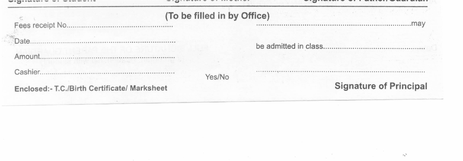### all a sold a sold at the contract of the

### (To be filled in by Office)

Fees receipt No..

Date.

Amount.

Cashier.

Yes/No

Enclosed:- T.C./Birth Certificate/ Marksheet

**Signature of Principal** 

.......mav

 $\ddotsc$